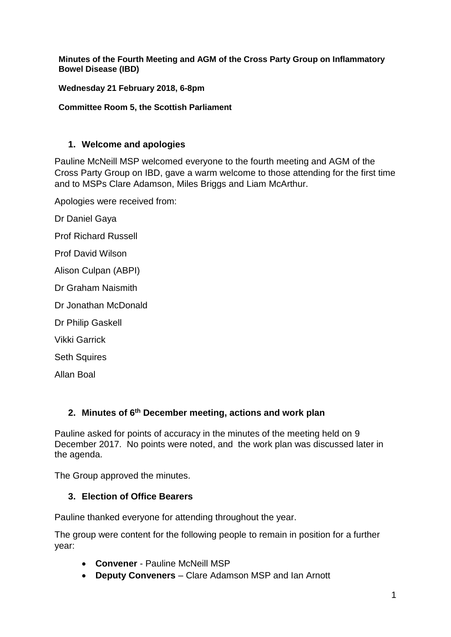**Minutes of the Fourth Meeting and AGM of the Cross Party Group on Inflammatory Bowel Disease (IBD)**

**Wednesday 21 February 2018, 6-8pm**

#### **Committee Room 5, the Scottish Parliament**

#### **1. Welcome and apologies**

Pauline McNeill MSP welcomed everyone to the fourth meeting and AGM of the Cross Party Group on IBD, gave a warm welcome to those attending for the first time and to MSPs Clare Adamson, Miles Briggs and Liam McArthur.

Apologies were received from:

Dr Daniel Gaya

Prof Richard Russell

Prof David Wilson

Alison Culpan (ABPI)

Dr Graham Naismith

Dr Jonathan McDonald

Dr Philip Gaskell

Vikki Garrick

Seth Squires

Allan Boal

## **2. Minutes of 6 th December meeting, actions and work plan**

Pauline asked for points of accuracy in the minutes of the meeting held on 9 December 2017. No points were noted, and the work plan was discussed later in the agenda.

The Group approved the minutes.

#### **3. Election of Office Bearers**

Pauline thanked everyone for attending throughout the year.

The group were content for the following people to remain in position for a further year:

- **Convener** Pauline McNeill MSP
- **Deputy Conveners**  Clare Adamson MSP and Ian Arnott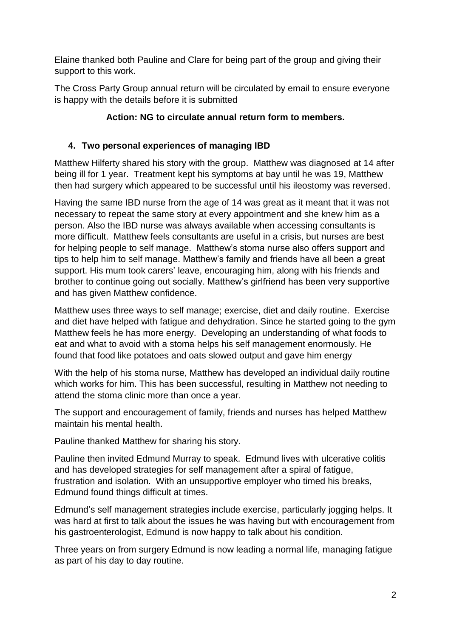Elaine thanked both Pauline and Clare for being part of the group and giving their support to this work.

The Cross Party Group annual return will be circulated by email to ensure everyone is happy with the details before it is submitted

# **Action: NG to circulate annual return form to members.**

# **4. Two personal experiences of managing IBD**

Matthew Hilferty shared his story with the group. Matthew was diagnosed at 14 after being ill for 1 year. Treatment kept his symptoms at bay until he was 19, Matthew then had surgery which appeared to be successful until his ileostomy was reversed.

Having the same IBD nurse from the age of 14 was great as it meant that it was not necessary to repeat the same story at every appointment and she knew him as a person. Also the IBD nurse was always available when accessing consultants is more difficult. Matthew feels consultants are useful in a crisis, but nurses are best for helping people to self manage. Matthew's stoma nurse also offers support and tips to help him to self manage. Matthew's family and friends have all been a great support. His mum took carers' leave, encouraging him, along with his friends and brother to continue going out socially. Matthew's girlfriend has been very supportive and has given Matthew confidence.

Matthew uses three ways to self manage; exercise, diet and daily routine. Exercise and diet have helped with fatigue and dehydration. Since he started going to the gym Matthew feels he has more energy. Developing an understanding of what foods to eat and what to avoid with a stoma helps his self management enormously. He found that food like potatoes and oats slowed output and gave him energy

With the help of his stoma nurse, Matthew has developed an individual daily routine which works for him. This has been successful, resulting in Matthew not needing to attend the stoma clinic more than once a year.

The support and encouragement of family, friends and nurses has helped Matthew maintain his mental health.

Pauline thanked Matthew for sharing his story.

Pauline then invited Edmund Murray to speak. Edmund lives with ulcerative colitis and has developed strategies for self management after a spiral of fatigue, frustration and isolation. With an unsupportive employer who timed his breaks, Edmund found things difficult at times.

Edmund's self management strategies include exercise, particularly jogging helps. It was hard at first to talk about the issues he was having but with encouragement from his gastroenterologist, Edmund is now happy to talk about his condition.

Three years on from surgery Edmund is now leading a normal life, managing fatigue as part of his day to day routine.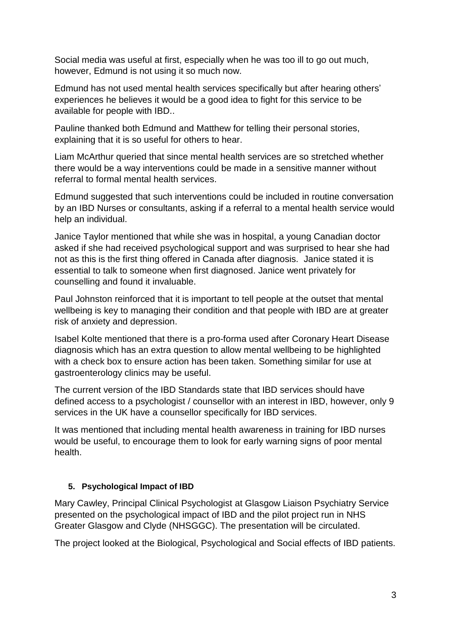Social media was useful at first, especially when he was too ill to go out much, however, Edmund is not using it so much now.

Edmund has not used mental health services specifically but after hearing others' experiences he believes it would be a good idea to fight for this service to be available for people with IBD..

Pauline thanked both Edmund and Matthew for telling their personal stories, explaining that it is so useful for others to hear.

Liam McArthur queried that since mental health services are so stretched whether there would be a way interventions could be made in a sensitive manner without referral to formal mental health services.

Edmund suggested that such interventions could be included in routine conversation by an IBD Nurses or consultants, asking if a referral to a mental health service would help an individual.

Janice Taylor mentioned that while she was in hospital, a young Canadian doctor asked if she had received psychological support and was surprised to hear she had not as this is the first thing offered in Canada after diagnosis. Janice stated it is essential to talk to someone when first diagnosed. Janice went privately for counselling and found it invaluable.

Paul Johnston reinforced that it is important to tell people at the outset that mental wellbeing is key to managing their condition and that people with IBD are at greater risk of anxiety and depression.

Isabel Kolte mentioned that there is a pro-forma used after Coronary Heart Disease diagnosis which has an extra question to allow mental wellbeing to be highlighted with a check box to ensure action has been taken. Something similar for use at gastroenterology clinics may be useful.

The current version of the IBD Standards state that IBD services should have defined access to a psychologist / counsellor with an interest in IBD, however, only 9 services in the UK have a counsellor specifically for IBD services.

It was mentioned that including mental health awareness in training for IBD nurses would be useful, to encourage them to look for early warning signs of poor mental health.

## **5. Psychological Impact of IBD**

Mary Cawley, Principal Clinical Psychologist at Glasgow Liaison Psychiatry Service presented on the psychological impact of IBD and the pilot project run in NHS Greater Glasgow and Clyde (NHSGGC). The presentation will be circulated.

The project looked at the Biological, Psychological and Social effects of IBD patients.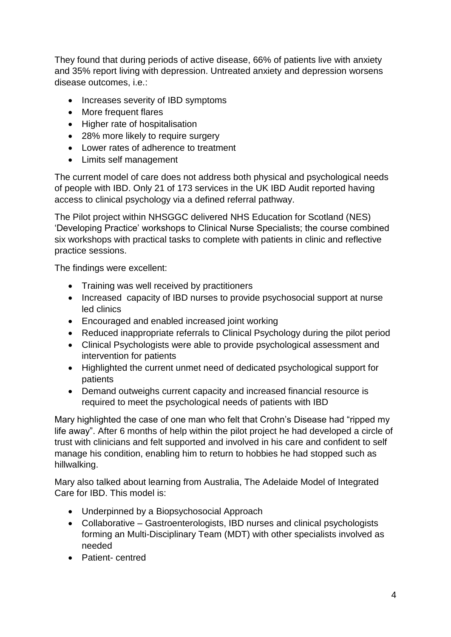They found that during periods of active disease, 66% of patients live with anxiety and 35% report living with depression. Untreated anxiety and depression worsens disease outcomes, i.e.:

- Increases severity of IBD symptoms
- More frequent flares
- Higher rate of hospitalisation
- 28% more likely to require surgery
- Lower rates of adherence to treatment
- Limits self management

The current model of care does not address both physical and psychological needs of people with IBD. Only 21 of 173 services in the UK IBD Audit reported having access to clinical psychology via a defined referral pathway.

The Pilot project within NHSGGC delivered NHS Education for Scotland (NES) 'Developing Practice' workshops to Clinical Nurse Specialists; the course combined six workshops with practical tasks to complete with patients in clinic and reflective practice sessions.

The findings were excellent:

- Training was well received by practitioners
- Increased capacity of IBD nurses to provide psychosocial support at nurse led clinics
- Encouraged and enabled increased joint working
- Reduced inappropriate referrals to Clinical Psychology during the pilot period
- Clinical Psychologists were able to provide psychological assessment and intervention for patients
- Highlighted the current unmet need of dedicated psychological support for patients
- Demand outweighs current capacity and increased financial resource is required to meet the psychological needs of patients with IBD

Mary highlighted the case of one man who felt that Crohn's Disease had "ripped my life away". After 6 months of help within the pilot project he had developed a circle of trust with clinicians and felt supported and involved in his care and confident to self manage his condition, enabling him to return to hobbies he had stopped such as hillwalking.

Mary also talked about learning from Australia, The Adelaide Model of Integrated Care for IBD. This model is:

- Underpinned by a Biopsychosocial Approach
- Collaborative Gastroenterologists, IBD nurses and clinical psychologists forming an Multi-Disciplinary Team (MDT) with other specialists involved as needed
- Patient- centred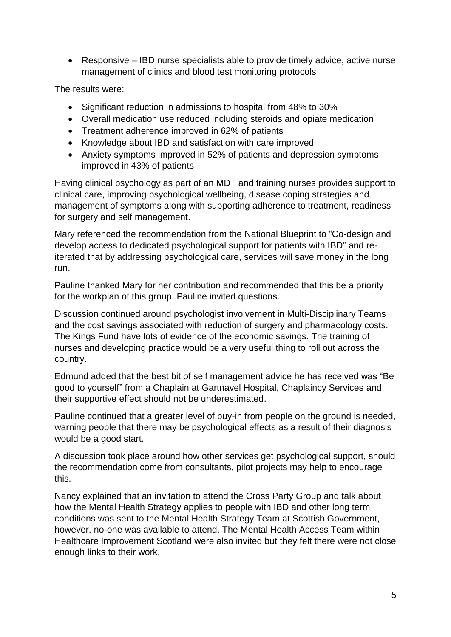• Responsive – IBD nurse specialists able to provide timely advice, active nurse management of clinics and blood test monitoring protocols

The results were:

- Significant reduction in admissions to hospital from 48% to 30%
- Overall medication use reduced including steroids and opiate medication
- Treatment adherence improved in 62% of patients
- Knowledge about IBD and satisfaction with care improved
- Anxiety symptoms improved in 52% of patients and depression symptoms improved in 43% of patients

Having clinical psychology as part of an MDT and training nurses provides support to clinical care, improving psychological wellbeing, disease coping strategies and management of symptoms along with supporting adherence to treatment, readiness for surgery and self management.

Mary referenced the recommendation from the National Blueprint to "Co-design and develop access to dedicated psychological support for patients with IBD" and reiterated that by addressing psychological care, services will save money in the long run.

Pauline thanked Mary for her contribution and recommended that this be a priority for the workplan of this group. Pauline invited questions.

Discussion continued around psychologist involvement in Multi-Disciplinary Teams and the cost savings associated with reduction of surgery and pharmacology costs. The Kings Fund have lots of evidence of the economic savings. The training of nurses and developing practice would be a very useful thing to roll out across the country.

Edmund added that the best bit of self management advice he has received was "Be good to yourself" from a Chaplain at Gartnavel Hospital, Chaplaincy Services and their supportive effect should not be underestimated.

Pauline continued that a greater level of buy-in from people on the ground is needed, warning people that there may be psychological effects as a result of their diagnosis would be a good start.

A discussion took place around how other services get psychological support, should the recommendation come from consultants, pilot projects may help to encourage this.

Nancy explained that an invitation to attend the Cross Party Group and talk about how the Mental Health Strategy applies to people with IBD and other long term conditions was sent to the Mental Health Strategy Team at Scottish Government, however, no-one was available to attend. The Mental Health Access Team within Healthcare Improvement Scotland were also invited but they felt there were not close enough links to their work.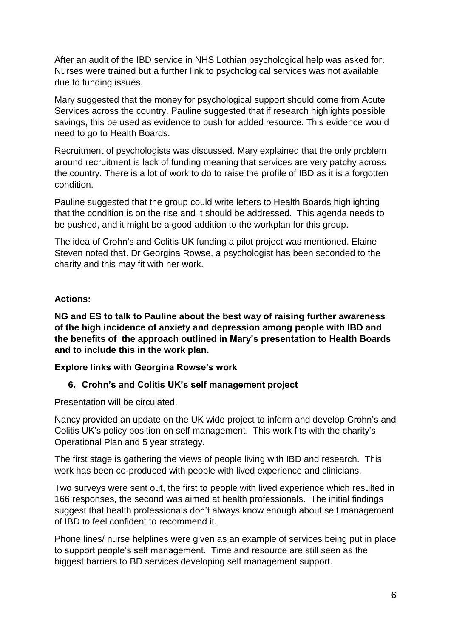After an audit of the IBD service in NHS Lothian psychological help was asked for. Nurses were trained but a further link to psychological services was not available due to funding issues.

Mary suggested that the money for psychological support should come from Acute Services across the country. Pauline suggested that if research highlights possible savings, this be used as evidence to push for added resource. This evidence would need to go to Health Boards.

Recruitment of psychologists was discussed. Mary explained that the only problem around recruitment is lack of funding meaning that services are very patchy across the country. There is a lot of work to do to raise the profile of IBD as it is a forgotten condition.

Pauline suggested that the group could write letters to Health Boards highlighting that the condition is on the rise and it should be addressed. This agenda needs to be pushed, and it might be a good addition to the workplan for this group.

The idea of Crohn's and Colitis UK funding a pilot project was mentioned. Elaine Steven noted that. Dr Georgina Rowse, a psychologist has been seconded to the charity and this may fit with her work.

## **Actions:**

**NG and ES to talk to Pauline about the best way of raising further awareness of the high incidence of anxiety and depression among people with IBD and the benefits of the approach outlined in Mary's presentation to Health Boards and to include this in the work plan.**

## **Explore links with Georgina Rowse's work**

## **6. Crohn's and Colitis UK's self management project**

Presentation will be circulated.

Nancy provided an update on the UK wide project to inform and develop Crohn's and Colitis UK's policy position on self management. This work fits with the charity's Operational Plan and 5 year strategy.

The first stage is gathering the views of people living with IBD and research. This work has been co-produced with people with lived experience and clinicians.

Two surveys were sent out, the first to people with lived experience which resulted in 166 responses, the second was aimed at health professionals. The initial findings suggest that health professionals don't always know enough about self management of IBD to feel confident to recommend it.

Phone lines/ nurse helplines were given as an example of services being put in place to support people's self management. Time and resource are still seen as the biggest barriers to BD services developing self management support.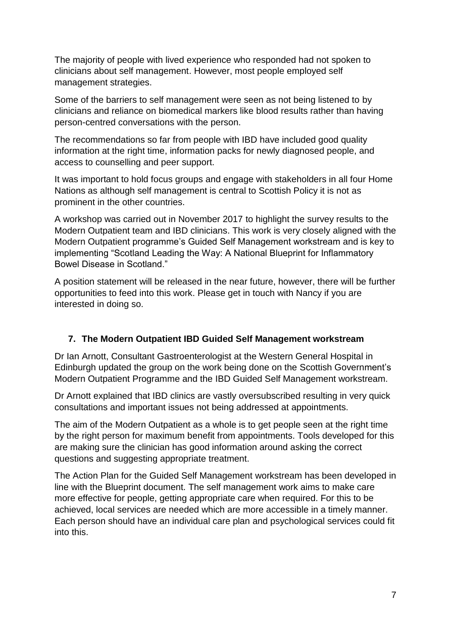The majority of people with lived experience who responded had not spoken to clinicians about self management. However, most people employed self management strategies.

Some of the barriers to self management were seen as not being listened to by clinicians and reliance on biomedical markers like blood results rather than having person-centred conversations with the person.

The recommendations so far from people with IBD have included good quality information at the right time, information packs for newly diagnosed people, and access to counselling and peer support.

It was important to hold focus groups and engage with stakeholders in all four Home Nations as although self management is central to Scottish Policy it is not as prominent in the other countries.

A workshop was carried out in November 2017 to highlight the survey results to the Modern Outpatient team and IBD clinicians. This work is very closely aligned with the Modern Outpatient programme's Guided Self Management workstream and is key to implementing "Scotland Leading the Way: A National Blueprint for Inflammatory Bowel Disease in Scotland."

A position statement will be released in the near future, however, there will be further opportunities to feed into this work. Please get in touch with Nancy if you are interested in doing so.

## **7. The Modern Outpatient IBD Guided Self Management workstream**

Dr Ian Arnott, Consultant Gastroenterologist at the Western General Hospital in Edinburgh updated the group on the work being done on the Scottish Government's Modern Outpatient Programme and the IBD Guided Self Management workstream.

Dr Arnott explained that IBD clinics are vastly oversubscribed resulting in very quick consultations and important issues not being addressed at appointments.

The aim of the Modern Outpatient as a whole is to get people seen at the right time by the right person for maximum benefit from appointments. Tools developed for this are making sure the clinician has good information around asking the correct questions and suggesting appropriate treatment.

The Action Plan for the Guided Self Management workstream has been developed in line with the Blueprint document. The self management work aims to make care more effective for people, getting appropriate care when required. For this to be achieved, local services are needed which are more accessible in a timely manner. Each person should have an individual care plan and psychological services could fit into this.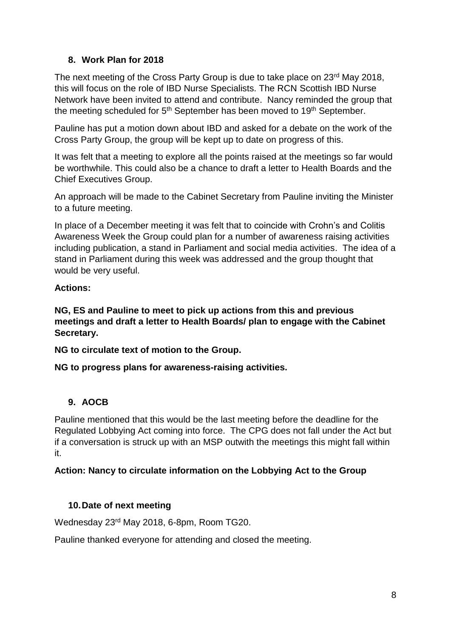## **8. Work Plan for 2018**

The next meeting of the Cross Party Group is due to take place on 23<sup>rd</sup> May 2018, this will focus on the role of IBD Nurse Specialists. The RCN Scottish IBD Nurse Network have been invited to attend and contribute. Nancy reminded the group that the meeting scheduled for 5<sup>th</sup> September has been moved to 19<sup>th</sup> September.

Pauline has put a motion down about IBD and asked for a debate on the work of the Cross Party Group, the group will be kept up to date on progress of this.

It was felt that a meeting to explore all the points raised at the meetings so far would be worthwhile. This could also be a chance to draft a letter to Health Boards and the Chief Executives Group.

An approach will be made to the Cabinet Secretary from Pauline inviting the Minister to a future meeting.

In place of a December meeting it was felt that to coincide with Crohn's and Colitis Awareness Week the Group could plan for a number of awareness raising activities including publication, a stand in Parliament and social media activities. The idea of a stand in Parliament during this week was addressed and the group thought that would be very useful.

## **Actions:**

**NG, ES and Pauline to meet to pick up actions from this and previous meetings and draft a letter to Health Boards/ plan to engage with the Cabinet Secretary.**

**NG to circulate text of motion to the Group.**

**NG to progress plans for awareness-raising activities.**

# **9. AOCB**

Pauline mentioned that this would be the last meeting before the deadline for the Regulated Lobbying Act coming into force. The CPG does not fall under the Act but if a conversation is struck up with an MSP outwith the meetings this might fall within it.

## **Action: Nancy to circulate information on the Lobbying Act to the Group**

## **10.Date of next meeting**

Wednesday 23rd May 2018, 6-8pm, Room TG20.

Pauline thanked everyone for attending and closed the meeting.